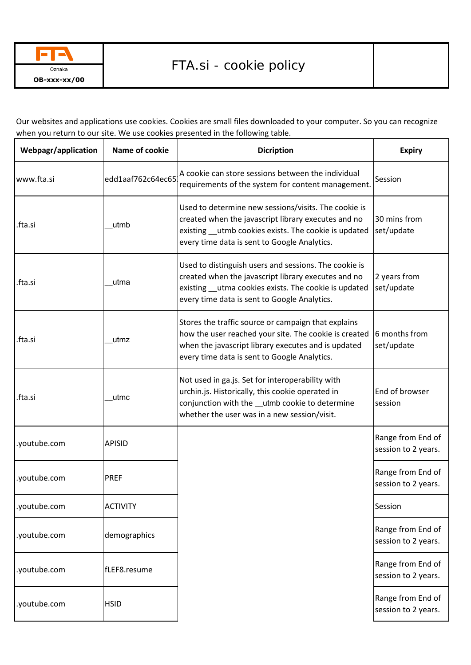

Our websites and applications use cookies. Cookies are small files downloaded to your computer. So you can recognize when you return to our site. We use cookies presented in the following table.

| Webpagr/application | Name of cookie    | <b>Dicription</b>                                                                                                                                                                                                     | <b>Expiry</b>                            |
|---------------------|-------------------|-----------------------------------------------------------------------------------------------------------------------------------------------------------------------------------------------------------------------|------------------------------------------|
| www.fta.si          | edd1aaf762c64ec65 | A cookie can store sessions between the individual<br>requirements of the system for content management.                                                                                                              | Session                                  |
| .fta.si             | utmb              | Used to determine new sessions/visits. The cookie is<br>created when the javascript library executes and no<br>existing utmb cookies exists. The cookie is updated<br>every time data is sent to Google Analytics.    | 30 mins from<br>set/update               |
| .fta.si             | utma              | Used to distinguish users and sessions. The cookie is<br>created when the javascript library executes and no<br>existing __utma cookies exists. The cookie is updated<br>every time data is sent to Google Analytics. | 2 years from<br>set/update               |
| .fta.si             | utmz              | Stores the traffic source or campaign that explains<br>how the user reached your site. The cookie is created<br>when the javascript library executes and is updated<br>every time data is sent to Google Analytics.   | 6 months from<br>set/update              |
| .fta.si             | utmc              | Not used in ga.js. Set for interoperability with<br>urchin.js. Historically, this cookie operated in<br>conjunction with the __utmb cookie to determine<br>whether the user was in a new session/visit.               | End of browser<br>session                |
| .youtube.com        | <b>APISID</b>     |                                                                                                                                                                                                                       | Range from End of<br>session to 2 years. |
| .youtube.com        | <b>PREF</b>       |                                                                                                                                                                                                                       | Range from End of<br>session to 2 years. |
| .youtube.com        | <b>ACTIVITY</b>   |                                                                                                                                                                                                                       | Session                                  |
| .youtube.com        | demographics      |                                                                                                                                                                                                                       | Range from End of<br>session to 2 years. |
| .youtube.com        | fLEF8.resume      |                                                                                                                                                                                                                       | Range from End of<br>session to 2 years. |
| .youtube.com        | <b>HSID</b>       |                                                                                                                                                                                                                       | Range from End of<br>session to 2 years. |